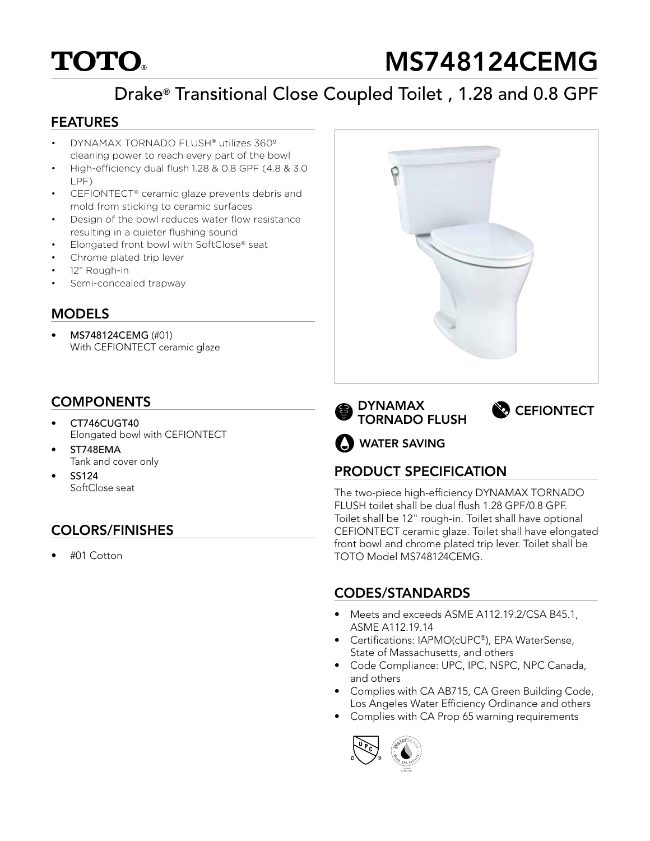# **TOTO**

# MS748124CEMG

# Drake® Transitional Close Coupled Toilet , 1.28 and 0.8 GPF

#### FEATURES

- DYNAMAX TORNADO FLUSH® utilizes 360º cleaning power to reach every part of the bowl
- High-efficiency dual flush 1.28 & 0.8 GPF (4.8 & 3.0 LPF)
- CEFIONTECT® ceramic glaze prevents debris and mold from sticking to ceramic surfaces
- Design of the bowl reduces water flow resistance resulting in a quieter flushing sound
- Elongated front bowl with SoftClose® seat
- Chrome plated trip lever
- 12" Rough-in
- Semi-concealed trapway

#### **MODELS**

• MS748124CEMG (#01) With CEFIONTECT ceramic glaze

## **COMPONENTS**

- CT746CUGT40 Elongated bowl with CEFIONTECT
- ST748EMA Tank and cover only
- SS124 SoftClose seat

## COLORS/FINISHES

• #01 Cotton







WATER SAVING

### PRODUCT SPECIFICATION

The two-piece high-efficiency DYNAMAX TORNADO FLUSH toilet shall be dual flush 1.28 GPF/0.8 GPF. Toilet shall be 12" rough-in. Toilet shall have optional CEFIONTECT ceramic glaze. Toilet shall have elongated front bowl and chrome plated trip lever. Toilet shall be TOTO Model MS748124CEMG.

### CODES/STANDARDS

- Meets and exceeds ASME A112.19.2/CSA B45.1, ASME A112.19.14
- Certifications: IAPMO(cUPC®), EPA WaterSense, State of Massachusetts, and others
- Code Compliance: UPC, IPC, NSPC, NPC Canada, and others
- Complies with CA AB715, CA Green Building Code, Los Angeles Water Efficiency Ordinance and others
- Complies with CA Prop 65 warning requirements